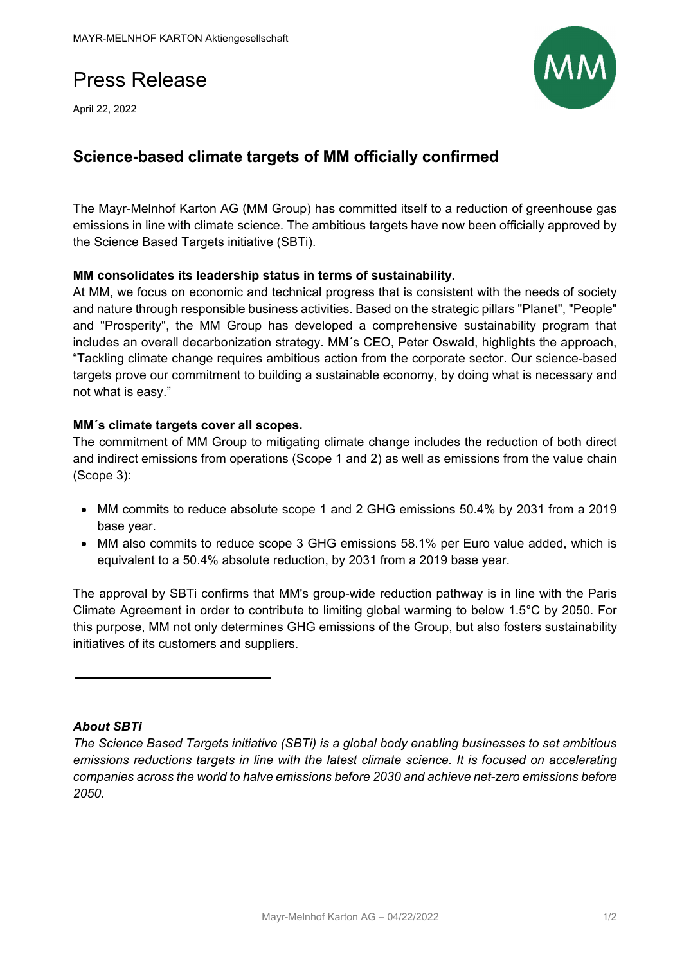# Press Release

April 22, 2022



# **Science-based climate targets of MM officially confirmed**

The Mayr-Melnhof Karton AG (MM Group) has committed itself to a reduction of greenhouse gas emissions in line with climate science. The ambitious targets have now been officially approved by the Science Based Targets initiative (SBTi).

## **MM consolidates its leadership status in terms of sustainability.**

At MM, we focus on economic and technical progress that is consistent with the needs of society and nature through responsible business activities. Based on the strategic pillars "Planet", "People" and "Prosperity", the MM Group has developed a comprehensive sustainability program that includes an overall decarbonization strategy. MM´s CEO, Peter Oswald, highlights the approach, "Tackling climate change requires ambitious action from the corporate sector. Our science-based targets prove our commitment to building a sustainable economy, by doing what is necessary and not what is easy."

## **MM´s climate targets cover all scopes.**

The commitment of MM Group to mitigating climate change includes the reduction of both direct and indirect emissions from operations (Scope 1 and 2) as well as emissions from the value chain (Scope 3):

- MM commits to reduce absolute scope 1 and 2 GHG emissions 50.4% by 2031 from a 2019 base year.
- MM also commits to reduce scope 3 GHG emissions 58.1% per Euro value added, which is equivalent to a 50.4% absolute reduction, by 2031 from a 2019 base year.

The approval by SBTi confirms that MM's group-wide reduction pathway is in line with the Paris Climate Agreement in order to contribute to limiting global warming to below 1.5°C by 2050. For this purpose, MM not only determines GHG emissions of the Group, but also fosters sustainability initiatives of its customers and suppliers.

#### *About SBTi*

*The Science Based Targets initiative (SBTi) is a global body enabling businesses to set ambitious emissions reductions targets in line with the latest climate science. It is focused on accelerating companies across the world to halve emissions before 2030 and achieve net-zero emissions before 2050.*